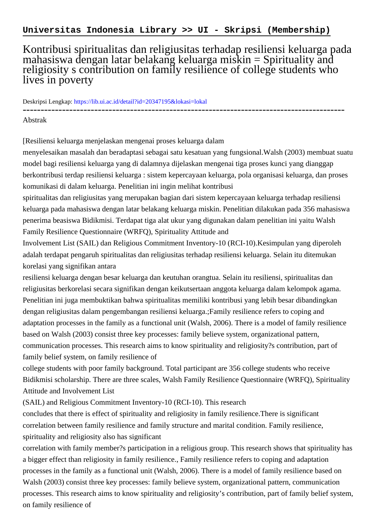## Kontribusi spiritualitas dan religiusitas terhadap resiliensi keluarga pada mahasiswa dengan latar belakang keluarga miskin = Spirituality and religiosity s contribution on family resilience of college students who lives in poverty

Deskripsi Lengkap:<https://lib.ui.ac.id/detail?id=20347195&lokasi=lokal>

------------------------------------------------------------------------------------------

Abstrak

[Resiliensi keluarga menjelaskan mengenai proses keluarga dalam

menyelesaikan masalah dan beradaptasi sebagai satu kesatuan yang fungsional.Walsh (2003) membuat suatu model bagi resiliensi keluarga yang di dalamnya dijelaskan mengenai tiga proses kunci yang dianggap berkontribusi terdap resiliensi keluarga : sistem kepercayaan keluarga, pola organisasi keluarga, dan proses komunikasi di dalam keluarga. Penelitian ini ingin melihat kontribusi

spiritualitas dan religiusitas yang merupakan bagian dari sistem kepercayaan keluarga terhadap resiliensi keluarga pada mahasiswa dengan latar belakang keluarga miskin. Penelitian dilakukan pada 356 mahasiswa penerima beasiswa Bidikmisi. Terdapat tiga alat ukur yang digunakan dalam penelitian ini yaitu Walsh Family Resilience Questionnaire (WRFQ), Spirituality Attitude and

Involvement List (SAIL) dan Religious Commitment Inventory-10 (RCI-10).Kesimpulan yang diperoleh adalah terdapat pengaruh spiritualitas dan religiusitas terhadap resiliensi keluarga. Selain itu ditemukan korelasi yang signifikan antara

resiliensi keluarga dengan besar keluarga dan keutuhan orangtua. Selain itu resiliensi, spiritualitas dan religiusitas berkorelasi secara signifikan dengan keikutsertaan anggota keluarga dalam kelompok agama. Penelitian ini juga membuktikan bahwa spiritualitas memiliki kontribusi yang lebih besar dibandingkan dengan religiusitas dalam pengembangan resiliensi keluarga.;Family resilience refers to coping and adaptation processes in the family as a functional unit (Walsh, 2006). There is a model of family resilience based on Walsh (2003) consist three key processes: family believe system, organizational pattern, communication processes. This research aims to know spirituality and religiosity?s contribution, part of family belief system, on family resilience of

college students with poor family background. Total participant are 356 college students who receive Bidikmisi scholarship. There are three scales, Walsh Family Resilience Questionnaire (WRFQ), Spirituality Attitude and Involvement List

(SAIL) and Religious Commitment Inventory-10 (RCI-10). This research

concludes that there is effect of spirituality and religiosity in family resilience.There is significant correlation between family resilience and family structure and marital condition. Family resilience, spirituality and religiosity also has significant

correlation with family member?s participation in a religious group. This research shows that spirituality has a bigger effect than religiosity in family resilience., Family resilience refers to coping and adaptation processes in the family as a functional unit (Walsh, 2006). There is a model of family resilience based on Walsh (2003) consist three key processes: family believe system, organizational pattern, communication processes. This research aims to know spirituality and religiosity's contribution, part of family belief system, on family resilience of